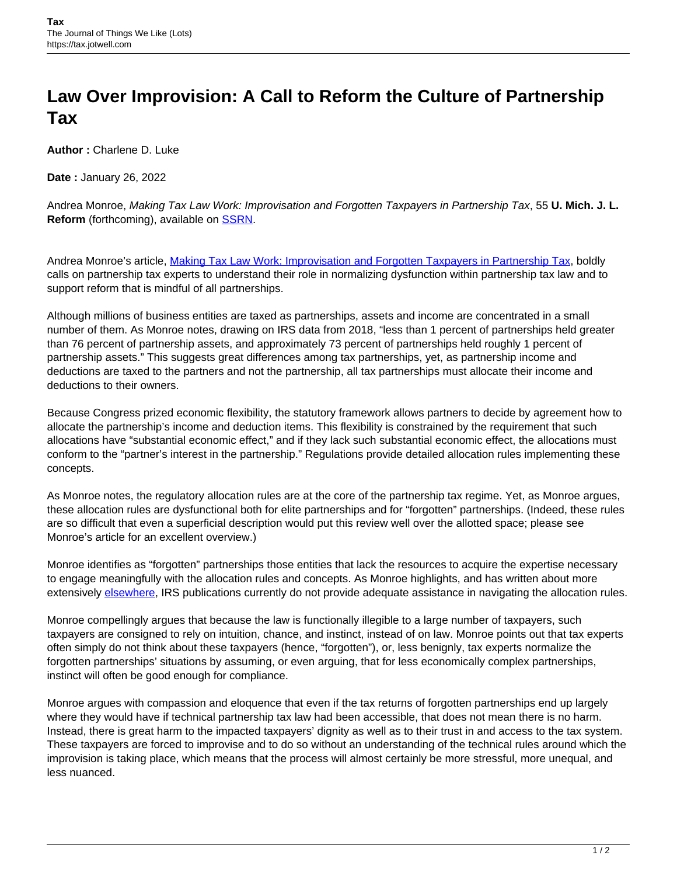## **Law Over Improvision: A Call to Reform the Culture of Partnership Tax**

**Author :** Charlene D. Luke

**Date :** January 26, 2022

Andrea Monroe, Making Tax Law Work: Improvisation and Forgotten Taxpayers in Partnership Tax, 55 **U. Mich. J. L. Reform** (forthcoming), available on **SSRN**.

Andrea Monroe's article, [Making Tax Law Work: Improvisation and Forgotten Taxpayers in Partnership Tax](https://papers.ssrn.com/sol3/papers.cfm?abstract_id=3838058), boldly calls on partnership tax experts to understand their role in normalizing dysfunction within partnership tax law and to support reform that is mindful of all partnerships.

Although millions of business entities are taxed as partnerships, assets and income are concentrated in a small number of them. As Monroe notes, drawing on IRS data from 2018, "less than 1 percent of partnerships held greater than 76 percent of partnership assets, and approximately 73 percent of partnerships held roughly 1 percent of partnership assets." This suggests great differences among tax partnerships, yet, as partnership income and deductions are taxed to the partners and not the partnership, all tax partnerships must allocate their income and deductions to their owners.

Because Congress prized economic flexibility, the statutory framework allows partners to decide by agreement how to allocate the partnership's income and deduction items. This flexibility is constrained by the requirement that such allocations have "substantial economic effect," and if they lack such substantial economic effect, the allocations must conform to the "partner's interest in the partnership." Regulations provide detailed allocation rules implementing these concepts.

As Monroe notes, the regulatory allocation rules are at the core of the partnership tax regime. Yet, as Monroe argues, these allocation rules are dysfunctional both for elite partnerships and for "forgotten" partnerships. (Indeed, these rules are so difficult that even a superficial description would put this review well over the allotted space; please see Monroe's article for an excellent overview.)

Monroe identifies as "forgotten" partnerships those entities that lack the resources to acquire the expertise necessary to engage meaningfully with the allocation rules and concepts. As Monroe highlights, and has written about more extensively [elsewhere](https://papers.ssrn.com/sol3/papers.cfm?abstract_id=3018109), IRS publications currently do not provide adequate assistance in navigating the allocation rules.

Monroe compellingly argues that because the law is functionally illegible to a large number of taxpayers, such taxpayers are consigned to rely on intuition, chance, and instinct, instead of on law. Monroe points out that tax experts often simply do not think about these taxpayers (hence, "forgotten"), or, less benignly, tax experts normalize the forgotten partnerships' situations by assuming, or even arguing, that for less economically complex partnerships, instinct will often be good enough for compliance.

Monroe argues with compassion and eloquence that even if the tax returns of forgotten partnerships end up largely where they would have if technical partnership tax law had been accessible, that does not mean there is no harm. Instead, there is great harm to the impacted taxpayers' dignity as well as to their trust in and access to the tax system. These taxpayers are forced to improvise and to do so without an understanding of the technical rules around which the improvision is taking place, which means that the process will almost certainly be more stressful, more unequal, and less nuanced.